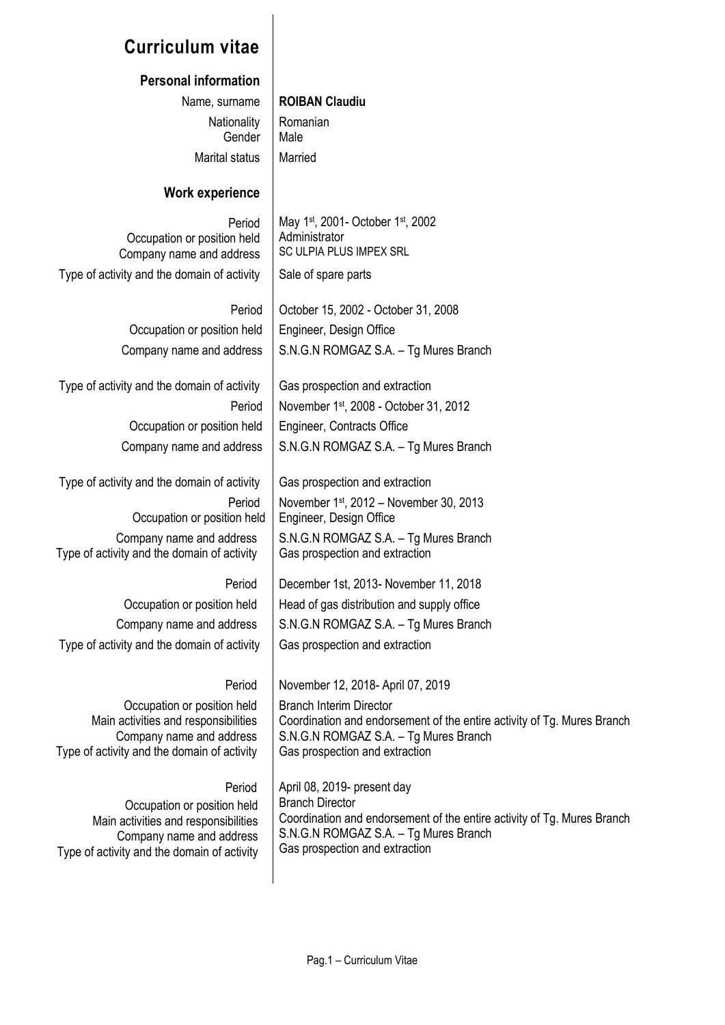# **Curriculum vitae**

#### **Personal information**

Name, surname **ROIBAN Claudiu Nationality** Gender Marital status | Married

Romanian Male

Administrator

May 1st, 2001- October 1st, 2002

November 1st, 2012 – November 30, 2013

S.N.G.N ROMGAZ S.A. – Tg Mures Branch

December 1st, 2013- November 11, 2018

S.N.G.N ROMGAZ S.A. – Tg Mures Branch

Engineer, Design Office

Branch Interim Director

Gas prospection and extraction

Gas prospection and extraction

SC ULPIA PLUS IMPEX SRL

#### **Work experience**

Period Occupation or position held Company name and address Type of activity and the domain of activity  $\parallel$  Sale of spare parts

#### Period | October 15, 2002 - October 31, 2008

Occupation or position held | Engineer, Design Office Company name and address  $\parallel$  S.N.G.N ROMGAZ S.A. – Tg Mures Branch

Type of activity and the domain of activity  $\Box$  Gas prospection and extraction Period | November 1<sup>st</sup>, 2008 - October 31, 2012 Occupation or position held | Engineer, Contracts Office Company name and address  $\parallel$  S.N.G.N ROMGAZ S.A. – Tg Mures Branch

Type of activity and the domain of activity  $\parallel$  Gas prospection and extraction Period Occupation or position held

Company name and address Type of activity and the domain of activity

Period Occupation or position held | Head of gas distribution and supply office Company name and address  $\parallel$  S.N.G.N ROMGAZ S.A. – Tg Mures Branch Type of activity and the domain of activity  $\Box$  Gas prospection and extraction

Period November 12, 2018- April 07, 2019

Occupation or position held Main activities and responsibilities Company name and address Type of activity and the domain of activity

#### Period

Occupation or position held Main activities and responsibilities Company name and address Type of activity and the domain of activity April 08, 2019- present day Branch Director Coordination and endorsement of the entire activity of Tg. Mures Branch S.N.G.N ROMGAZ S.A. – Tg Mures Branch Gas prospection and extraction

Coordination and endorsement of the entire activity of Tg. Mures Branch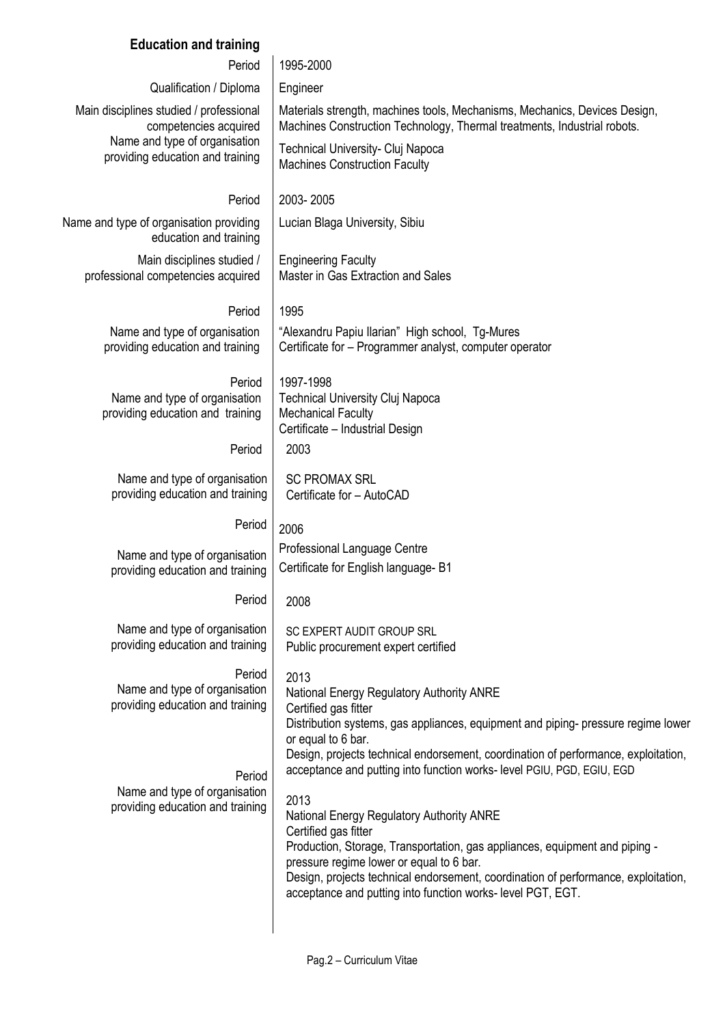## **Education and training**

| Period                                                                                            | 1995-2000                                                                                                                                                                                                                                                                                                                                                |  |  |  |  |  |
|---------------------------------------------------------------------------------------------------|----------------------------------------------------------------------------------------------------------------------------------------------------------------------------------------------------------------------------------------------------------------------------------------------------------------------------------------------------------|--|--|--|--|--|
| Qualification / Diploma                                                                           | Engineer                                                                                                                                                                                                                                                                                                                                                 |  |  |  |  |  |
| Main disciplines studied / professional<br>competencies acquired<br>Name and type of organisation | Materials strength, machines tools, Mechanisms, Mechanics, Devices Design,<br>Machines Construction Technology, Thermal treatments, Industrial robots.                                                                                                                                                                                                   |  |  |  |  |  |
| providing education and training                                                                  | Technical University- Cluj Napoca<br><b>Machines Construction Faculty</b>                                                                                                                                                                                                                                                                                |  |  |  |  |  |
| Period                                                                                            | 2003-2005                                                                                                                                                                                                                                                                                                                                                |  |  |  |  |  |
| Name and type of organisation providing<br>education and training                                 | Lucian Blaga University, Sibiu                                                                                                                                                                                                                                                                                                                           |  |  |  |  |  |
| Main disciplines studied /<br>professional competencies acquired                                  | <b>Engineering Faculty</b><br>Master in Gas Extraction and Sales                                                                                                                                                                                                                                                                                         |  |  |  |  |  |
| Period                                                                                            | 1995                                                                                                                                                                                                                                                                                                                                                     |  |  |  |  |  |
| Name and type of organisation<br>providing education and training                                 | "Alexandru Papiu Ilarian" High school, Tg-Mures<br>Certificate for - Programmer analyst, computer operator                                                                                                                                                                                                                                               |  |  |  |  |  |
| Period<br>Name and type of organisation<br>providing education and training                       | 1997-1998<br><b>Technical University Cluj Napoca</b><br><b>Mechanical Faculty</b><br>Certificate - Industrial Design                                                                                                                                                                                                                                     |  |  |  |  |  |
| Period                                                                                            | 2003                                                                                                                                                                                                                                                                                                                                                     |  |  |  |  |  |
| Name and type of organisation<br>providing education and training                                 | <b>SC PROMAX SRL</b><br>Certificate for - AutoCAD                                                                                                                                                                                                                                                                                                        |  |  |  |  |  |
| Period                                                                                            | 2006                                                                                                                                                                                                                                                                                                                                                     |  |  |  |  |  |
| Name and type of organisation<br>providing education and training                                 | Professional Language Centre<br>Certificate for English language- B1                                                                                                                                                                                                                                                                                     |  |  |  |  |  |
| Period                                                                                            | 2008                                                                                                                                                                                                                                                                                                                                                     |  |  |  |  |  |
| Name and type of organisation<br>providing education and training                                 | SC EXPERT AUDIT GROUP SRL<br>Public procurement expert certified                                                                                                                                                                                                                                                                                         |  |  |  |  |  |
| Period<br>Name and type of organisation<br>providing education and training<br>Period             | 2013<br>National Energy Regulatory Authority ANRE<br>Certified gas fitter<br>Distribution systems, gas appliances, equipment and piping-pressure regime lower<br>or equal to 6 bar.<br>Design, projects technical endorsement, coordination of performance, exploitation,<br>acceptance and putting into function works- level PGIU, PGD, EGIU, EGD      |  |  |  |  |  |
| Name and type of organisation<br>providing education and training                                 | 2013<br>National Energy Regulatory Authority ANRE<br>Certified gas fitter<br>Production, Storage, Transportation, gas appliances, equipment and piping -<br>pressure regime lower or equal to 6 bar.<br>Design, projects technical endorsement, coordination of performance, exploitation,<br>acceptance and putting into function works-level PGT, EGT. |  |  |  |  |  |

 $\overline{\phantom{a}}$